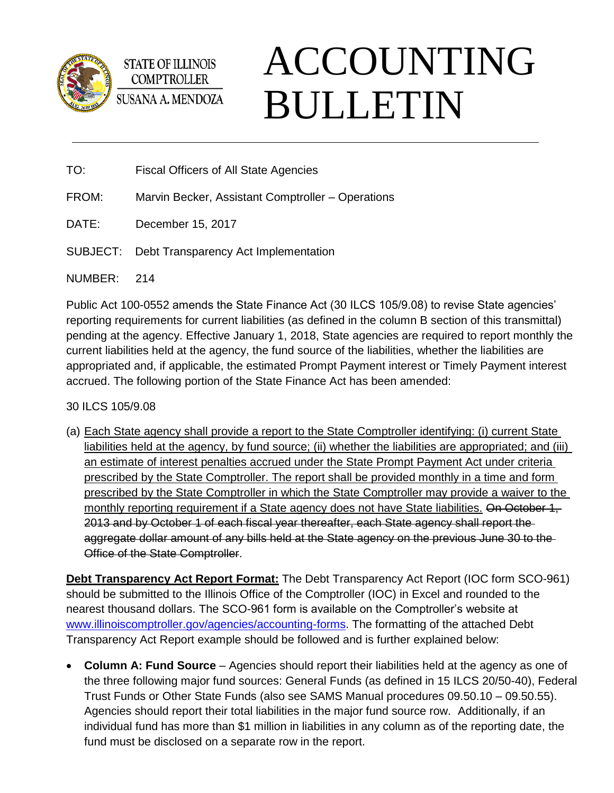

**STATE OF ILLINOIS COMPTROLLER** SUSANA A. MENDOZA

# ACCOUNTING BULLETIN

TO: Fiscal Officers of All State Agencies

- FROM: Marvin Becker, Assistant Comptroller Operations
- DATE: December 15, 2017
- SUBJECT: Debt Transparency Act Implementation

NUMBER: 214

Public Act 100-0552 amends the State Finance Act (30 ILCS 105/9.08) to revise State agencies' reporting requirements for current liabilities (as defined in the column B section of this transmittal) pending at the agency. Effective January 1, 2018, State agencies are required to report monthly the current liabilities held at the agency, the fund source of the liabilities, whether the liabilities are appropriated and, if applicable, the estimated Prompt Payment interest or Timely Payment interest accrued. The following portion of the State Finance Act has been amended:

30 ILCS 105/9.08

(a) Each State agency shall provide a report to the State Comptroller identifying: (i) current State liabilities held at the agency, by fund source; (ii) whether the liabilities are appropriated; and (iii) an estimate of interest penalties accrued under the State Prompt Payment Act under criteria prescribed by the State Comptroller. The report shall be provided monthly in a time and form prescribed by the State Comptroller in which the State Comptroller may provide a waiver to the monthly reporting requirement if a State agency does not have State liabilities. On October 1, 2013 and by October 1 of each fiscal year thereafter, each State agency shall report the aggregate dollar amount of any bills held at the State agency on the previous June 30 to the Office of the State Comptroller.

**Debt Transparency Act Report Format:** The Debt Transparency Act Report (IOC form SCO-961) should be submitted to the Illinois Office of the Comptroller (IOC) in Excel and rounded to the nearest thousand dollars. The SCO-961 form is available on the Comptroller's website at [www.illinoiscomptroller.gov/agencies/accounting-forms.](http://www.illinoiscomptroller.gov/agencies/accounting-forms) The formatting of the attached Debt Transparency Act Report example should be followed and is further explained below:

• **Column A: Fund Source** – Agencies should report their liabilities held at the agency as one of the three following major fund sources: General Funds (as defined in 15 ILCS 20/50-40), Federal Trust Funds or Other State Funds (also see SAMS Manual procedures 09.50.10 – 09.50.55). Agencies should report their total liabilities in the major fund source row. Additionally, if an individual fund has more than \$1 million in liabilities in any column as of the reporting date, the fund must be disclosed on a separate row in the report.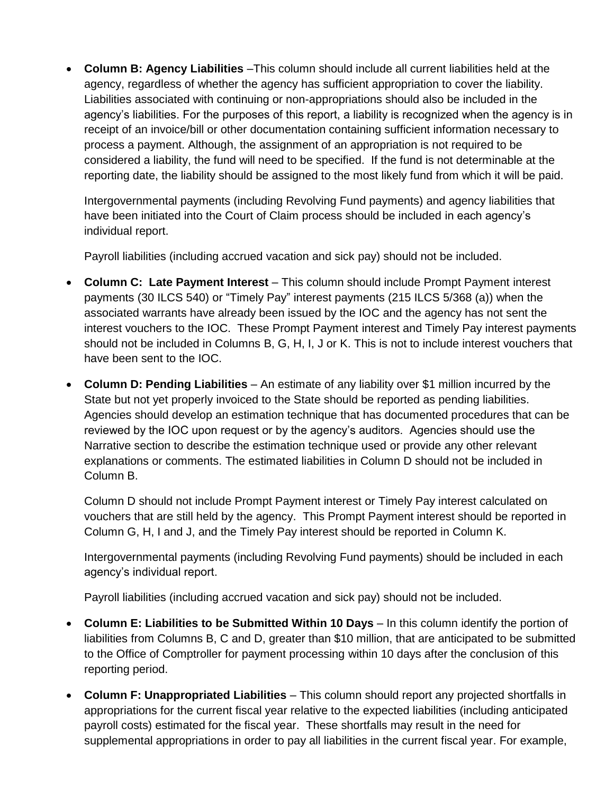• **Column B: Agency Liabilities** –This column should include all current liabilities held at the agency, regardless of whether the agency has sufficient appropriation to cover the liability. Liabilities associated with continuing or non-appropriations should also be included in the agency's liabilities. For the purposes of this report, a liability is recognized when the agency is in receipt of an invoice/bill or other documentation containing sufficient information necessary to process a payment. Although, the assignment of an appropriation is not required to be considered a liability, the fund will need to be specified. If the fund is not determinable at the reporting date, the liability should be assigned to the most likely fund from which it will be paid.

Intergovernmental payments (including Revolving Fund payments) and agency liabilities that have been initiated into the Court of Claim process should be included in each agency's individual report.

Payroll liabilities (including accrued vacation and sick pay) should not be included.

- **Column C: Late Payment Interest** This column should include Prompt Payment interest payments (30 ILCS 540) or "Timely Pay" interest payments (215 ILCS 5/368 (a)) when the associated warrants have already been issued by the IOC and the agency has not sent the interest vouchers to the IOC. These Prompt Payment interest and Timely Pay interest payments should not be included in Columns B, G, H, I, J or K. This is not to include interest vouchers that have been sent to the IOC.
- **Column D: Pending Liabilities**  An estimate of any liability over \$1 million incurred by the State but not yet properly invoiced to the State should be reported as pending liabilities. Agencies should develop an estimation technique that has documented procedures that can be reviewed by the IOC upon request or by the agency's auditors. Agencies should use the Narrative section to describe the estimation technique used or provide any other relevant explanations or comments. The estimated liabilities in Column D should not be included in Column B.

Column D should not include Prompt Payment interest or Timely Pay interest calculated on vouchers that are still held by the agency. This Prompt Payment interest should be reported in Column G, H, I and J, and the Timely Pay interest should be reported in Column K.

Intergovernmental payments (including Revolving Fund payments) should be included in each agency's individual report.

Payroll liabilities (including accrued vacation and sick pay) should not be included.

- **Column E: Liabilities to be Submitted Within 10 Days** In this column identify the portion of liabilities from Columns B, C and D, greater than \$10 million, that are anticipated to be submitted to the Office of Comptroller for payment processing within 10 days after the conclusion of this reporting period.
- **Column F: Unappropriated Liabilities** This column should report any projected shortfalls in appropriations for the current fiscal year relative to the expected liabilities (including anticipated payroll costs) estimated for the fiscal year. These shortfalls may result in the need for supplemental appropriations in order to pay all liabilities in the current fiscal year. For example,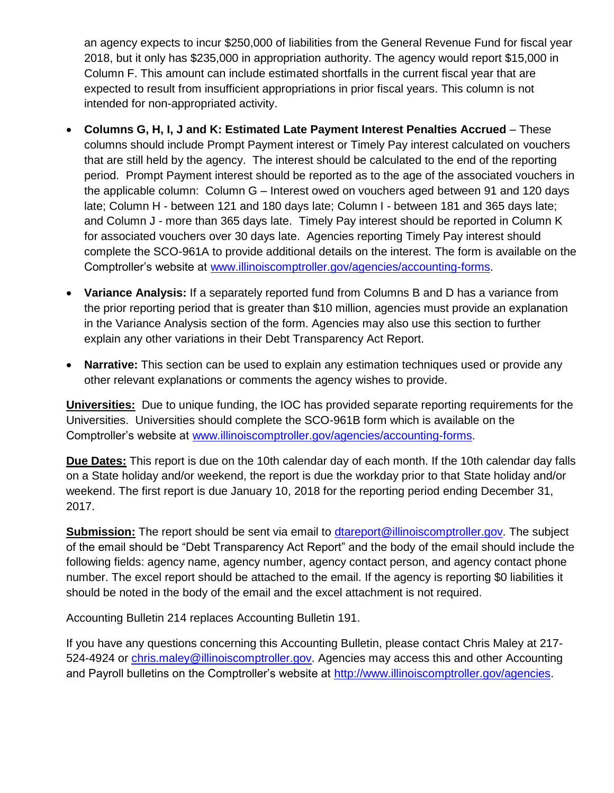an agency expects to incur \$250,000 of liabilities from the General Revenue Fund for fiscal year 2018, but it only has \$235,000 in appropriation authority. The agency would report \$15,000 in Column F. This amount can include estimated shortfalls in the current fiscal year that are expected to result from insufficient appropriations in prior fiscal years. This column is not intended for non-appropriated activity.

- **Columns G, H, I, J and K: Estimated Late Payment Interest Penalties Accrued** These columns should include Prompt Payment interest or Timely Pay interest calculated on vouchers that are still held by the agency. The interest should be calculated to the end of the reporting period. Prompt Payment interest should be reported as to the age of the associated vouchers in the applicable column: Column G – Interest owed on vouchers aged between 91 and 120 days late; Column H - between 121 and 180 days late; Column I - between 181 and 365 days late; and Column J - more than 365 days late. Timely Pay interest should be reported in Column K for associated vouchers over 30 days late. Agencies reporting Timely Pay interest should complete the SCO-961A to provide additional details on the interest. The form is available on the Comptroller's website at [www.illinoiscomptroller.gov/agencies/accounting-forms.](http://www.illinoiscomptroller.gov/agencies/accounting-forms)
- **Variance Analysis:** If a separately reported fund from Columns B and D has a variance from the prior reporting period that is greater than \$10 million, agencies must provide an explanation in the Variance Analysis section of the form. Agencies may also use this section to further explain any other variations in their Debt Transparency Act Report.
- **Narrative:** This section can be used to explain any estimation techniques used or provide any other relevant explanations or comments the agency wishes to provide.

**Universities:** Due to unique funding, the IOC has provided separate reporting requirements for the Universities. Universities should complete the SCO-961B form which is available on the Comptroller's website at [www.illinoiscomptroller.gov/agencies/accounting-forms.](http://www.illinoiscomptroller.gov/agencies/accounting-forms)

**Due Dates:** This report is due on the 10th calendar day of each month. If the 10th calendar day falls on a State holiday and/or weekend, the report is due the workday prior to that State holiday and/or weekend. The first report is due January 10, 2018 for the reporting period ending December 31, 2017.

**Submission:** The report should be sent via email to [dtareport@illinoiscomptroller.gov.](mailto:dtareport@illinoiscomptroller.gov) The subject of the email should be "Debt Transparency Act Report" and the body of the email should include the following fields: agency name, agency number, agency contact person, and agency contact phone number. The excel report should be attached to the email. If the agency is reporting \$0 liabilities it should be noted in the body of the email and the excel attachment is not required.

Accounting Bulletin 214 replaces Accounting Bulletin 191.

If you have any questions concerning this Accounting Bulletin, please contact Chris Maley at 217- 524-4924 or [chris.maley@illinoiscomptroller.gov.](mailto:chris.maley@illinoiscomptroller.gov) Agencies may access this and other Accounting and Payroll bulletins on the Comptroller's website at [http://www.illinoiscomptroller.gov/agencies.](http://www.illinoiscomptroller.gov/agencies)